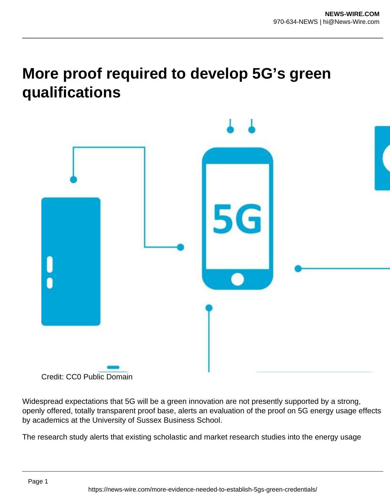## **More proof required to develop 5G's green qualifications**



Credit: CC0 Public Domain

Widespread expectations that 5G will be a green innovation are not presently supported by a strong, openly offered, totally transparent proof base, alerts an evaluation of the proof on 5G energy usage effects by academics at the University of Sussex Business School.

The research study alerts that existing scholastic and market research studies into the energy usage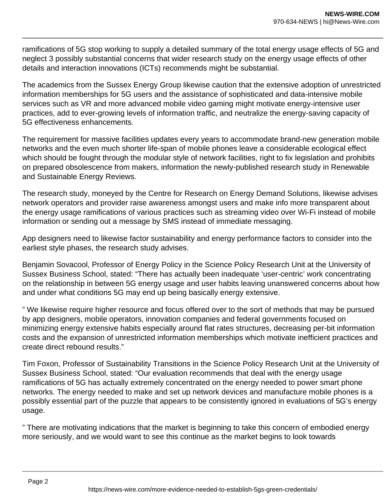ramifications of 5G stop working to supply a detailed summary of the total energy usage effects of 5G and neglect 3 possibly substantial concerns that wider research study on the energy usage effects of other details and interaction innovations (ICTs) recommends might be substantial.

The academics from the Sussex Energy Group likewise caution that the extensive adoption of unrestricted information memberships for 5G users and the assistance of sophisticated and data-intensive mobile services such as VR and more advanced mobile video gaming might motivate energy-intensive user practices, add to ever-growing levels of information traffic, and neutralize the energy-saving capacity of 5G effectiveness enhancements.

The requirement for massive facilities updates every years to accommodate brand-new generation mobile networks and the even much shorter life-span of mobile phones leave a considerable ecological effect which should be fought through the modular style of network facilities, right to fix legislation and prohibits on prepared obsolescence from makers, information the newly-published research study in Renewable and Sustainable Energy Reviews.

The research study, moneyed by the Centre for Research on Energy Demand Solutions, likewise advises network operators and provider raise awareness amongst users and make info more transparent about the energy usage ramifications of various practices such as streaming video over Wi-Fi instead of mobile information or sending out a message by SMS instead of immediate messaging.

App designers need to likewise factor sustainability and energy performance factors to consider into the earliest style phases, the research study advises.

Benjamin Sovacool, Professor of Energy Policy in the Science Policy Research Unit at the University of Sussex Business School, stated: "There has actually been inadequate 'user-centric' work concentrating on the relationship in between 5G energy usage and user habits leaving unanswered concerns about how and under what conditions 5G may end up being basically energy extensive.

" We likewise require higher resource and focus offered over to the sort of methods that may be pursued by app designers, mobile operators, innovation companies and federal governments focused on minimizing energy extensive habits especially around flat rates structures, decreasing per-bit information costs and the expansion of unrestricted information memberships which motivate inefficient practices and create direct rebound results."

Tim Foxon, Professor of Sustainability Transitions in the Science Policy Research Unit at the University of Sussex Business School, stated: "Our evaluation recommends that deal with the energy usage ramifications of 5G has actually extremely concentrated on the energy needed to power smart phone networks. The energy needed to make and set up network devices and manufacture mobile phones is a possibly essential part of the puzzle that appears to be consistently ignored in evaluations of 5G's energy usage.

" There are motivating indications that the market is beginning to take this concern of embodied energy more seriously, and we would want to see this continue as the market begins to look towards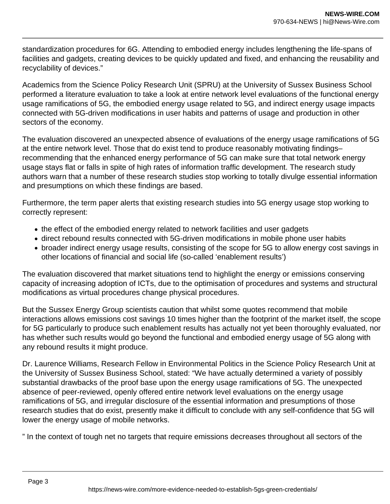standardization procedures for 6G. Attending to embodied energy includes lengthening the life-spans of facilities and gadgets, creating devices to be quickly updated and fixed, and enhancing the reusability and recyclability of devices."

Academics from the Science Policy Research Unit (SPRU) at the University of Sussex Business School performed a literature evaluation to take a look at entire network level evaluations of the functional energy usage ramifications of 5G, the embodied energy usage related to 5G, and indirect energy usage impacts connected with 5G-driven modifications in user habits and patterns of usage and production in other sectors of the economy.

The evaluation discovered an unexpected absence of evaluations of the energy usage ramifications of 5G at the entire network level. Those that do exist tend to produce reasonably motivating findings– recommending that the enhanced energy performance of 5G can make sure that total network energy usage stays flat or falls in spite of high rates of information traffic development. The research study authors warn that a number of these research studies stop working to totally divulge essential information and presumptions on which these findings are based.

Furthermore, the term paper alerts that existing research studies into 5G energy usage stop working to correctly represent:

- the effect of the embodied energy related to network facilities and user gadgets
- direct rebound results connected with 5G-driven modifications in mobile phone user habits
- broader indirect energy usage results, consisting of the scope for 5G to allow energy cost savings in other locations of financial and social life (so-called 'enablement results')

The evaluation discovered that market situations tend to highlight the energy or emissions conserving capacity of increasing adoption of ICTs, due to the optimisation of procedures and systems and structural modifications as virtual procedures change physical procedures.

But the Sussex Energy Group scientists caution that whilst some quotes recommend that mobile interactions allows emissions cost savings 10 times higher than the footprint of the market itself, the scope for 5G particularly to produce such enablement results has actually not yet been thoroughly evaluated, nor has whether such results would go beyond the functional and embodied energy usage of 5G along with any rebound results it might produce.

Dr. Laurence Williams, Research Fellow in Environmental Politics in the Science Policy Research Unit at the University of Sussex Business School, stated: "We have actually determined a variety of possibly substantial drawbacks of the proof base upon the energy usage ramifications of 5G. The unexpected absence of peer-reviewed, openly offered entire network level evaluations on the energy usage ramifications of 5G, and irregular disclosure of the essential information and presumptions of those research studies that do exist, presently make it difficult to conclude with any self-confidence that 5G will lower the energy usage of mobile networks.

" In the context of tough net no targets that require emissions decreases throughout all sectors of the